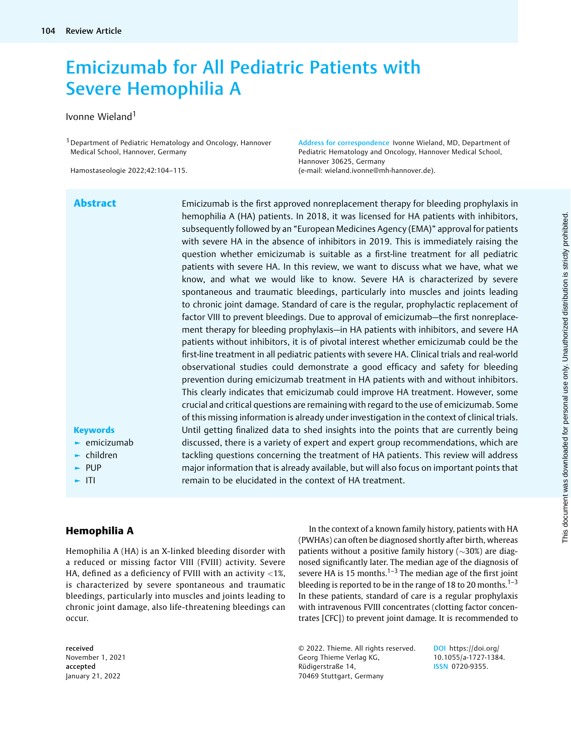# Emicizumab for All Pediatric Patients with Severe Hemophilia A

### Ivonne Wieland<sup>1</sup>

1Department of Pediatric Hematology and Oncology, Hannover Medical School, Hannover, Germany

Hamostaseologie 2022;42:104–115.

Address for correspondence Ivonne Wieland, MD, Department of Pediatric Hematology and Oncology, Hannover Medical School, Hannover 30625, Germany (e-mail: [wieland.ivonne@mh-hannover.de](mailto:wieland.ivonne@mh-hannover.de)).

Abstract Emicizumab is the first approved nonreplacement therapy for bleeding prophylaxis in hemophilia A (HA) patients. In 2018, it was licensed for HA patients with inhibitors, subsequently followed by an "European Medicines Agency (EMA)" approval for patients with severe HA in the absence of inhibitors in 2019. This is immediately raising the question whether emicizumab is suitable as a first-line treatment for all pediatric patients with severe HA. In this review, we want to discuss what we have, what we know, and what we would like to know. Severe HA is characterized by severe spontaneous and traumatic bleedings, particularly into muscles and joints leading to chronic joint damage. Standard of care is the regular, prophylactic replacement of factor VIII to prevent bleedings. Due to approval of emicizumab—the first nonreplacement therapy for bleeding prophylaxis—in HA patients with inhibitors, and severe HA patients without inhibitors, it is of pivotal interest whether emicizumab could be the first-line treatment in all pediatric patients with severe HA. Clinical trials and real-world observational studies could demonstrate a good efficacy and safety for bleeding prevention during emicizumab treatment in HA patients with and without inhibitors. This clearly indicates that emicizumab could improve HA treatment. However, some crucial and critical questions are remaining with regard to the use of emicizumab. Some of this missing information is already under investigation in the context of clinical trials. Until getting finalized data to shed insights into the points that are currently being discussed, there is a variety of expert and expert group recommendations, which are tackling questions concerning the treatment of HA patients. This review will address major information that is already available, but will also focus on important points that remain to be elucidated in the context of HA treatment.

# **Keywords**

- $\blacktriangleright$  emicizumab
- ► children
- ► PUP
- ► ITI

# Hemophilia A

Hemophilia A (HA) is an X-linked bleeding disorder with a reduced or missing factor VIII (FVIII) activity. Severe HA, defined as a deficiency of FVIII with an activity <1%, is characterized by severe spontaneous and traumatic bleedings, particularly into muscles and joints leading to chronic joint damage, also life-threatening bleedings can occur.

received November 1, 2021 accepted January 21, 2022

In the context of a known family history, patients with HA (PWHAs) can often be diagnosed shortly after birth, whereas patients without a positive family history  $(\sim]30\%)$  are diagnosed significantly later. The median age of the diagnosis of severe HA is 15 months.<sup>1-3</sup> The median age of the first joint bleeding is reported to be in the range of 18 to 20 months.<sup>1–3</sup> In these patients, standard of care is a regular prophylaxis with intravenous FVIII concentrates (clotting factor concentrates [CFC]) to prevent joint damage. It is recommended to

© 2022. Thieme. All rights reserved. Georg Thieme Verlag KG, Rüdigerstraße 14, 70469 Stuttgart, Germany

DOI [https://doi.org/](https://doi.org/10.1055/a-1727-1384) [10.1055/a-1727-1384.](https://doi.org/10.1055/a-1727-1384) ISSN 0720-9355.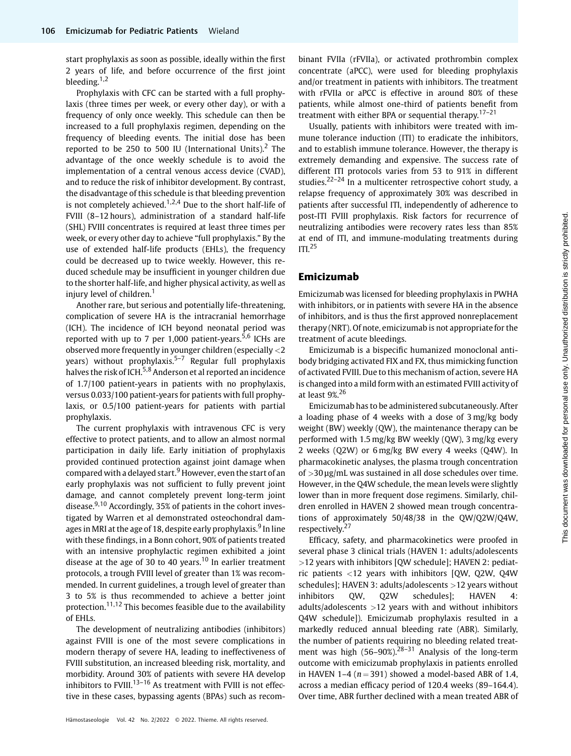start prophylaxis as soon as possible, ideally within the first 2 years of life, and before occurrence of the first joint bleeding.<sup>1,2</sup>

Prophylaxis with CFC can be started with a full prophylaxis (three times per week, or every other day), or with a frequency of only once weekly. This schedule can then be increased to a full prophylaxis regimen, depending on the frequency of bleeding events. The initial dose has been reported to be 250 to 500 IU (International Units).<sup>2</sup> The advantage of the once weekly schedule is to avoid the implementation of a central venous access device (CVAD), and to reduce the risk of inhibitor development. By contrast, the disadvantage of this schedule is that bleeding prevention is not completely achieved.<sup>1,2,4</sup> Due to the short half-life of FVIII (8–12 hours), administration of a standard half-life (SHL) FVIII concentrates is required at least three times per week, or every other day to achieve "full prophylaxis." By the use of extended half-life products (EHLs), the frequency could be decreased up to twice weekly. However, this reduced schedule may be insufficient in younger children due to the shorter half-life, and higher physical activity, as well as injury level of children.<sup>1</sup>

Another rare, but serious and potentially life-threatening, complication of severe HA is the intracranial hemorrhage (ICH). The incidence of ICH beyond neonatal period was reported with up to 7 per 1,000 patient-years.<sup>5,6</sup> ICHs are observed more frequently in younger children (especially <2 years) without prophylaxis.<sup>5-7</sup> Regular full prophylaxis halves the risk of ICH.<sup>5,8</sup> Anderson et al reported an incidence of 1.7/100 patient-years in patients with no prophylaxis, versus 0.033/100 patient-years for patients with full prophylaxis, or 0.5/100 patient-years for patients with partial prophylaxis.

The current prophylaxis with intravenous CFC is very effective to protect patients, and to allow an almost normal participation in daily life. Early initiation of prophylaxis provided continued protection against joint damage when compared with a delayed start.<sup>9</sup> However, even the start of an early prophylaxis was not sufficient to fully prevent joint damage, and cannot completely prevent long-term joint disease. $9,10$  Accordingly, 35% of patients in the cohort investigated by Warren et al demonstrated osteochondral damages in MRI at the age of 18, despite early prophylaxis.<sup>9</sup> In line with these findings, in a Bonn cohort, 90% of patients treated with an intensive prophylactic regimen exhibited a joint disease at the age of 30 to 40 years.<sup>10</sup> In earlier treatment protocols, a trough FVIII level of greater than 1% was recommended. In current guidelines, a trough level of greater than 3 to 5% is thus recommended to achieve a better joint protection.<sup>11,12</sup> This becomes feasible due to the availability of EHLs.

The development of neutralizing antibodies (inhibitors) against FVIII is one of the most severe complications in modern therapy of severe HA, leading to ineffectiveness of FVIII substitution, an increased bleeding risk, mortality, and morbidity. Around 30% of patients with severe HA develop inhibitors to FVIII.<sup>13-16</sup> As treatment with FVIII is not effective in these cases, bypassing agents (BPAs) such as recombinant FVIIa (rFVIIa), or activated prothrombin complex concentrate (aPCC), were used for bleeding prophylaxis and/or treatment in patients with inhibitors. The treatment with rFVIIa or aPCC is effective in around 80% of these patients, while almost one-third of patients benefit from treatment with either BPA or sequential therapy.<sup>17-21</sup>

Usually, patients with inhibitors were treated with immune tolerance induction (ITI) to eradicate the inhibitors, and to establish immune tolerance. However, the therapy is extremely demanding and expensive. The success rate of different ITI protocols varies from 53 to 91% in different studies.<sup>22–24</sup> In a multicenter retrospective cohort study, a relapse frequency of approximately 30% was described in patients after successful ITI, independently of adherence to post-ITI FVIII prophylaxis. Risk factors for recurrence of neutralizing antibodies were recovery rates less than 85% at end of ITI, and immune-modulating treatments during  $ITI.<sup>25</sup>$ 

### Emicizumab

Emicizumab was licensed for bleeding prophylaxis in PWHA with inhibitors, or in patients with severe HA in the absence of inhibitors, and is thus the first approved nonreplacement therapy (NRT). Of note, emicizumab is not appropriate for the treatment of acute bleedings.

Emicizumab is a bispecific humanized monoclonal antibody bridging activated FIX and FX, thus mimicking function of activated FVIII. Due to this mechanism of action, severe HA is changed into a mild form with an estimated FVIII activity of at least 9%.<sup>26</sup>

Emicizumab has to be administered subcutaneously. After a loading phase of 4 weeks with a dose of 3 mg/kg body weight (BW) weekly (QW), the maintenance therapy can be performed with 1.5 mg/kg BW weekly (QW), 3 mg/kg every 2 weeks (Q2W) or 6 mg/kg BW every 4 weeks (Q4W). In pharmacokinetic analyses, the plasma trough concentration of >30 μg/mL was sustained in all dose schedules over time. However, in the Q4W schedule, the mean levels were slightly lower than in more frequent dose regimens. Similarly, children enrolled in HAVEN 2 showed mean trough concentrations of approximately 50/48/38 in the QW/Q2W/Q4W, respectively.<sup>27</sup>

Efficacy, safety, and pharmacokinetics were proofed in several phase 3 clinical trials (HAVEN 1: adults/adolescents >12 years with inhibitors [QW schedule]; HAVEN 2: pediatric patients <12 years with inhibitors [QW, Q2W, Q4W schedules]; HAVEN 3: adults/adolescents >12 years without inhibitors QW, Q2W schedules]; HAVEN 4: adults/adolescents >12 years with and without inhibitors Q4W schedule]). Emicizumab prophylaxis resulted in a markedly reduced annual bleeding rate (ABR). Similarly, the number of patients requiring no bleeding related treatment was high  $(56-90\%)^{28-31}$  Analysis of the long-term outcome with emicizumab prophylaxis in patients enrolled in HAVEN 1–4 ( $n = 391$ ) showed a model-based ABR of 1.4, across a median efficacy period of 120.4 weeks (89–164.4). Over time, ABR further declined with a mean treated ABR of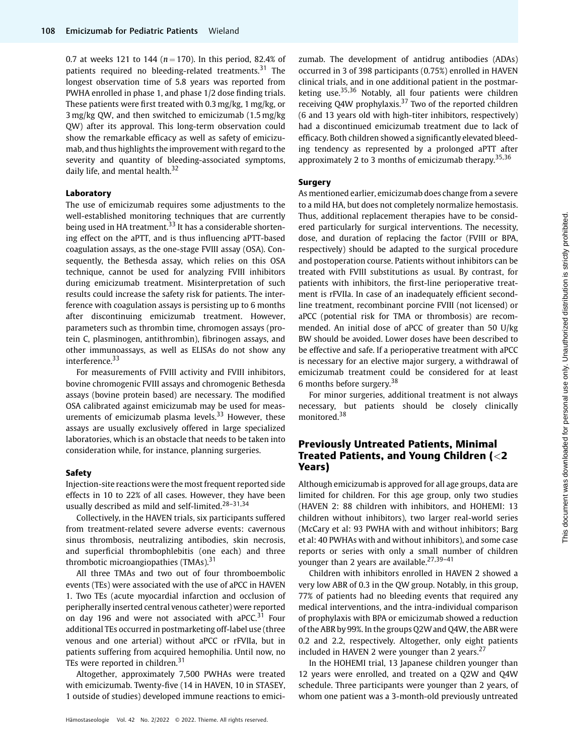0.7 at weeks 121 to 144 ( $n = 170$ ). In this period, 82.4% of patients required no bleeding-related treatments.<sup>31</sup> The longest observation time of 5.8 years was reported from PWHA enrolled in phase 1, and phase 1/2 dose finding trials. These patients were first treated with 0.3 mg/kg, 1 mg/kg, or 3 mg/kg QW, and then switched to emicizumab (1.5 mg/kg QW) after its approval. This long-term observation could show the remarkable efficacy as well as safety of emicizumab, and thus highlights the improvement with regard to the severity and quantity of bleeding-associated symptoms, daily life, and mental health.<sup>32</sup>

#### Laboratory

The use of emicizumab requires some adjustments to the well-established monitoring techniques that are currently being used in HA treatment.<sup>33</sup> It has a considerable shortening effect on the aPTT, and is thus influencing aPTT-based coagulation assays, as the one-stage FVIII assay (OSA). Consequently, the Bethesda assay, which relies on this OSA technique, cannot be used for analyzing FVIII inhibitors during emicizumab treatment. Misinterpretation of such results could increase the safety risk for patients. The interference with coagulation assays is persisting up to 6 months after discontinuing emicizumab treatment. However, parameters such as thrombin time, chromogen assays (protein C, plasminogen, antithrombin), fibrinogen assays, and other immunoassays, as well as ELISAs do not show any interference.<sup>33</sup>

For measurements of FVIII activity and FVIII inhibitors, bovine chromogenic FVIII assays and chromogenic Bethesda assays (bovine protein based) are necessary. The modified OSA calibrated against emicizumab may be used for measurements of emicizumab plasma levels. $33$  However, these assays are usually exclusively offered in large specialized laboratories, which is an obstacle that needs to be taken into consideration while, for instance, planning surgeries.

#### Safety

Injection-site reactions were the most frequent reported side effects in 10 to 22% of all cases. However, they have been usually described as mild and self-limited.<sup>28-31,34</sup>

Collectively, in the HAVEN trials, six participants suffered from treatment-related severe adverse events: cavernous sinus thrombosis, neutralizing antibodies, skin necrosis, and superficial thrombophlebitis (one each) and three thrombotic microangiopathies  $(TMAs).$ <sup>31</sup>

All three TMAs and two out of four thromboembolic events (TEs) were associated with the use of aPCC in HAVEN 1. Two TEs (acute myocardial infarction and occlusion of peripherally inserted central venous catheter) were reported on day 196 and were not associated with aPCC. $31$  Four additional TEs occurred in postmarketing off-label use (three venous and one arterial) without aPCC or rFVIIa, but in patients suffering from acquired hemophilia. Until now, no TEs were reported in children.<sup>31</sup>

Altogether, approximately 7,500 PWHAs were treated with emicizumab. Twenty-five (14 in HAVEN, 10 in STASEY, 1 outside of studies) developed immune reactions to emicizumab. The development of antidrug antibodies (ADAs) occurred in 3 of 398 participants (0.75%) enrolled in HAVEN clinical trials, and in one additional patient in the postmarketing use.35,36 Notably, all four patients were children receiving Q4W prophylaxis.<sup>37</sup> Two of the reported children (6 and 13 years old with high-titer inhibitors, respectively) had a discontinued emicizumab treatment due to lack of efficacy. Both children showed a significantly elevated bleeding tendency as represented by a prolonged aPTT after approximately 2 to 3 months of emicizumab therapy.<sup>35,36</sup>

#### Surgery

As mentioned earlier, emicizumab does change from a severe to a mild HA, but does not completely normalize hemostasis. Thus, additional replacement therapies have to be considered particularly for surgical interventions. The necessity, dose, and duration of replacing the factor (FVIII or BPA, respectively) should be adapted to the surgical procedure and postoperation course. Patients without inhibitors can be treated with FVIII substitutions as usual. By contrast, for patients with inhibitors, the first-line perioperative treatment is rFVIIa. In case of an inadequately efficient secondline treatment, recombinant porcine FVIII (not licensed) or aPCC (potential risk for TMA or thrombosis) are recommended. An initial dose of aPCC of greater than 50 U/kg BW should be avoided. Lower doses have been described to be effective and safe. If a perioperative treatment with aPCC is necessary for an elective major surgery, a withdrawal of emicizumab treatment could be considered for at least 6 months before surgery.<sup>38</sup>

For minor surgeries, additional treatment is not always necessary, but patients should be closely clinically monitored.<sup>38</sup>

# Previously Untreated Patients, Minimal Treated Patients, and Young Children (<2 Years)

Although emicizumab is approved for all age groups, data are limited for children. For this age group, only two studies (HAVEN 2: 88 children with inhibitors, and HOHEMI: 13 children without inhibitors), two larger real-world series (McCary et al: 93 PWHA with and without inhibitors; Barg et al: 40 PWHAs with and without inhibitors), and some case reports or series with only a small number of children younger than 2 years are available.<sup>27,39-41</sup>

Children with inhibitors enrolled in HAVEN 2 showed a very low ABR of 0.3 in the QW group. Notably, in this group, 77% of patients had no bleeding events that required any medical interventions, and the intra-individual comparison of prophylaxis with BPA or emicizumab showed a reduction of the ABR by 99%. In the groups Q2W and Q4W, the ABR were 0.2 and 2.2, respectively. Altogether, only eight patients included in HAVEN 2 were younger than 2 years. $27$ 

In the HOHEMI trial, 13 Japanese children younger than 12 years were enrolled, and treated on a Q2W and Q4W schedule. Three participants were younger than 2 years, of whom one patient was a 3-month-old previously untreated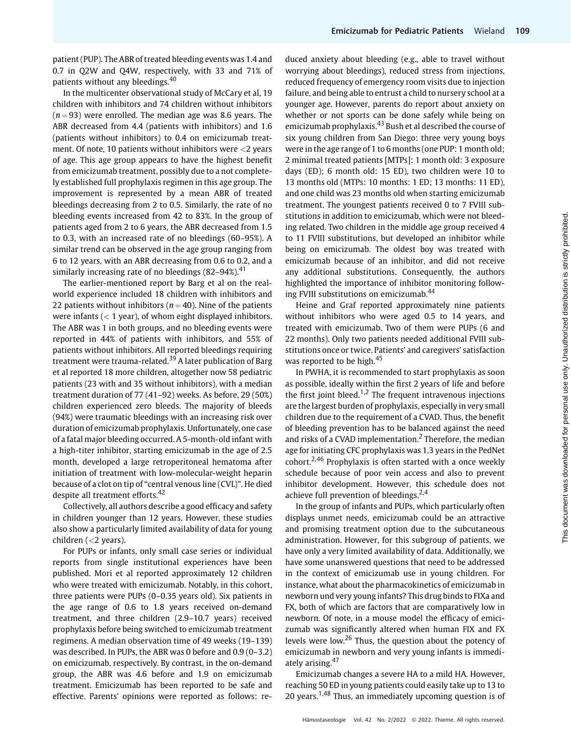patient (PUP). The ABR of treated bleeding events was 1.4 and 0.7 in Q2W and Q4W, respectively, with 33 and 71% of patients without any bleedings.<sup>40</sup>

In the multicenter observational study of McCary et al, 19 children with inhibitors and 74 children without inhibitors  $(n = 93)$  were enrolled. The median age was 8.6 years. The ABR decreased from 4.4 (patients with inhibitors) and 1.6 (patients without inhibitors) to 0.4 on emicizumab treatment. Of note, 10 patients without inhibitors were <2 years of age. This age group appears to have the highest benefit from emicizumab treatment, possibly due to a not completely established full prophylaxis regimen in this age group. The improvement is represented by a mean ABR of treated bleedings decreasing from 2 to 0.5. Similarly, the rate of no bleeding events increased from 42 to 83%. In the group of patients aged from 2 to 6 years, the ABR decreased from 1.5 to 0.3, with an increased rate of no bleedings (60–95%). A similar trend can be observed in the age group ranging from 6 to 12 years, with an ABR decreasing from 0.6 to 0.2, and a similarly increasing rate of no bleedings  $(82-94%)$ <sup>41</sup>

The earlier-mentioned report by Barg et al on the realworld experience included 18 children with inhibitors and 22 patients without inhibitors ( $n = 40$ ). Nine of the patients were infants  $(< 1$  year), of whom eight displayed inhibitors. The ABR was 1 in both groups, and no bleeding events were reported in 44% of patients with inhibitors, and 55% of patients without inhibitors. All reported bleedings requiring treatment were trauma-related.<sup>39</sup> A later publication of Barg et al reported 18 more children, altogether now 58 pediatric patients (23 with and 35 without inhibitors), with a median treatment duration of 77 (41–92) weeks. As before, 29 (50%) children experienced zero bleeds. The majority of bleeds (94%) were traumatic bleedings with an increasing risk over duration of emicizumab prophylaxis. Unfortunately, one case of a fatal major bleeding occurred. A 5-month-old infant with a high-titer inhibitor, starting emicizumab in the age of 2.5 month, developed a large retroperitoneal hematoma after initiation of treatment with low-molecular-weight heparin because of a clot on tip of "central venous line (CVL)". He died despite all treatment efforts.<sup>42</sup>

Collectively, all authors describe a good efficacy and safety in children younger than 12 years. However, these studies also show a particularly limited availability of data for young children (<2 years).

For PUPs or infants, only small case series or individual reports from single institutional experiences have been published. Mori et al reported approximately 12 children who were treated with emicizumab. Notably, in this cohort, three patients were PUPs (0–0.35 years old). Six patients in the age range of 0.6 to 1.8 years received on-demand treatment, and three children (2.9–10.7 years) received prophylaxis before being switched to emicizumab treatment regimens. A median observation time of 49 weeks (19–139) was described. In PUPs, the ABR was 0 before and 0.9 (0–3.2) on emicizumab, respectively. By contrast, in the on-demand group, the ABR was 4.6 before and 1.9 on emicizumab treatment. Emicizumab has been reported to be safe and effective. Parents' opinions were reported as follows: reduced anxiety about bleeding (e.g., able to travel without worrying about bleedings), reduced stress from injections, reduced frequency of emergency room visits due to injection failure, and being able to entrust a child to nursery school at a younger age. However, parents do report about anxiety on whether or not sports can be done safely while being on emicizumab prophylaxis.<sup>43</sup> Bush et al described the course of six young children from San Diego: three very young boys were in the age range of 1 to 6 months (one PUP: 1 month old; 2 minimal treated patients [MTPs]: 1 month old: 3 exposure days (ED); 6 month old: 15 ED), two children were 10 to 13 months old (MTPs: 10 months: 1 ED; 13 months: 11 ED), and one child was 23 months old when starting emicizumab treatment. The youngest patients received 0 to 7 FVIII substitutions in addition to emicizumab, which were not bleeding related. Two children in the middle age group received 4 to 11 FVIII substitutions, but developed an inhibitor while being on emicizumab. The oldest boy was treated with emicizumab because of an inhibitor, and did not receive any additional substitutions. Consequently, the authors highlighted the importance of inhibitor monitoring following FVIII substitutions on emicizumab.<sup>44</sup>

Heine and Graf reported approximately nine patients without inhibitors who were aged 0.5 to 14 years, and treated with emicizumab. Two of them were PUPs (6 and 22 months). Only two patients needed additional FVIII substitutions once or twice. Patients' and caregivers' satisfaction was reported to be high.<sup>45</sup>

In PWHA, it is recommended to start prophylaxis as soon as possible, ideally within the first 2 years of life and before the first joint bleed.<sup>1,2</sup> The frequent intravenous injections are the largest burden of prophylaxis, especially in very small children due to the requirement of a CVAD. Thus, the benefit of bleeding prevention has to be balanced against the need and risks of a CVAD implementation.<sup>2</sup> Therefore, the median age for initiating CFC prophylaxis was 1.3 years in the PedNet cohort.<sup>2,46</sup> Prophylaxis is often started with a once weekly schedule because of poor vein access and also to prevent inhibitor development. However, this schedule does not achieve full prevention of bleedings.<sup>2,4</sup>

In the group of infants and PUPs, which particularly often displays unmet needs, emicizumab could be an attractive and promising treatment option due to the subcutaneous administration. However, for this subgroup of patients, we have only a very limited availability of data. Additionally, we have some unanswered questions that need to be addressed in the context of emicizumab use in young children. For instance, what about the pharmacokinetics of emicizumab in newborn und very young infants? This drug binds to FIXa and FX, both of which are factors that are comparatively low in newborn. Of note, in a mouse model the efficacy of emicizumab was significantly altered when human FIX and FX levels were low.<sup>26</sup> Thus, the question about the potency of emicizumab in newborn and very young infants is immediately arising.<sup>47</sup>

Emicizumab changes a severe HA to a mild HA. However, reaching 50 ED in young patients could easily take up to 13 to 20 years.<sup>1,48</sup> Thus, an immediately upcoming question is of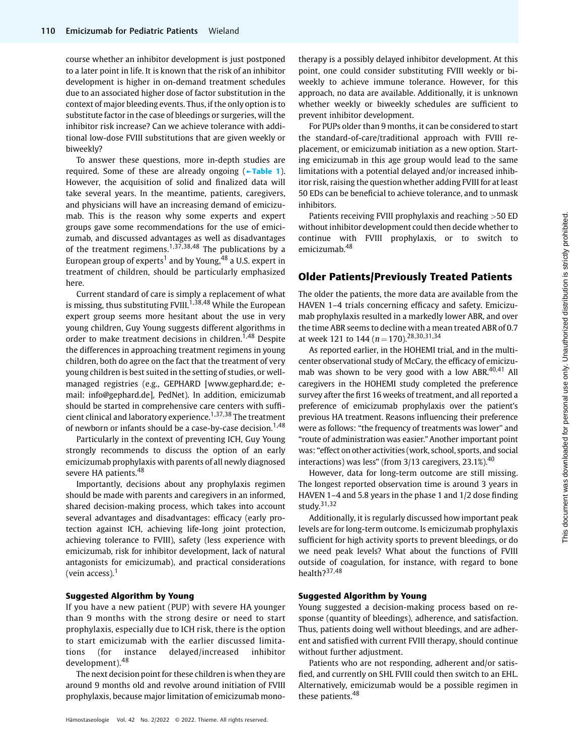course whether an inhibitor development is just postponed to a later point in life. It is known that the risk of an inhibitor development is higher in on-demand treatment schedules due to an associated higher dose of factor substitution in the context of major bleeding events. Thus, if the only option is to substitute factor in the case of bleedings or surgeries, will the inhibitor risk increase? Can we achieve tolerance with additional low-dose FVIII substitutions that are given weekly or biweekly?

To answer these questions, more in-depth studies are required. Some of these are already ongoing (►Table 1). However, the acquisition of solid and finalized data will take several years. In the meantime, patients, caregivers, and physicians will have an increasing demand of emicizumab. This is the reason why some experts and expert groups gave some recommendations for the use of emicizumab, and discussed advantages as well as disadvantages of the treatment regimens.<sup>1,37,38,48</sup> The publications by a European group of experts<sup>1</sup> and by Young,  $48$  a U.S. expert in treatment of children, should be particularly emphasized here.

Current standard of care is simply a replacement of what is missing, thus substituting FVIII.<sup>1,38,48</sup> While the European expert group seems more hesitant about the use in very young children, Guy Young suggests different algorithms in order to make treatment decisions in children.<sup>1,48</sup> Despite the differences in approaching treatment regimens in young children, both do agree on the fact that the treatment of very young children is best suited in the setting of studies, or wellmanaged registries (e.g., GEPHARD [\[www.gephard.de;](http://www.gephard.de) email: info@gephard.de], PedNet). In addition, emicizumab should be started in comprehensive care centers with sufficient clinical and laboratory experience.<sup>1,37,38</sup> The treatment of newborn or infants should be a case-by-case decision.<sup>1,48</sup>

Particularly in the context of preventing ICH, Guy Young strongly recommends to discuss the option of an early emicizumab prophylaxis with parents of all newly diagnosed severe HA patients.<sup>48</sup>

Importantly, decisions about any prophylaxis regimen should be made with parents and caregivers in an informed, shared decision-making process, which takes into account several advantages and disadvantages: efficacy (early protection against ICH, achieving life-long joint protection, achieving tolerance to FVIII), safety (less experience with emicizumab, risk for inhibitor development, lack of natural antagonists for emicizumab), and practical considerations (vein access). $<sup>1</sup>$ </sup>

#### Suggested Algorithm by Young

If you have a new patient (PUP) with severe HA younger than 9 months with the strong desire or need to start prophylaxis, especially due to ICH risk, there is the option to start emicizumab with the earlier discussed limitations (for instance delayed/increased inhibitor development).<sup>48</sup>

The next decision point for these children is when they are around 9 months old and revolve around initiation of FVIII prophylaxis, because major limitation of emicizumab monotherapy is a possibly delayed inhibitor development. At this point, one could consider substituting FVIII weekly or biweekly to achieve immune tolerance. However, for this approach, no data are available. Additionally, it is unknown whether weekly or biweekly schedules are sufficient to prevent inhibitor development.

For PUPs older than 9 months, it can be considered to start the standard-of-care/traditional approach with FVIII replacement, or emicizumab initiation as a new option. Starting emicizumab in this age group would lead to the same limitations with a potential delayed and/or increased inhibitor risk, raising the question whether adding FVIII for at least 50 EDs can be beneficial to achieve tolerance, and to unmask inhibitors.

Patients receiving FVIII prophylaxis and reaching >50 ED without inhibitor development could then decide whether to continue with FVIII prophylaxis, or to switch to emicizumab.<sup>48</sup>

### Older Patients/Previously Treated Patients

The older the patients, the more data are available from the HAVEN 1–4 trials concerning efficacy and safety. Emicizumab prophylaxis resulted in a markedly lower ABR, and over the time ABR seems to decline with a mean treated ABR of 0.7 at week 121 to 144 ( $n = 170$ ).<sup>28,30,31,34</sup>

As reported earlier, in the HOHEMI trial, and in the multicenter observational study of McCary, the efficacy of emicizumab was shown to be very good with a low ABR.<sup>40,41</sup> All caregivers in the HOHEMI study completed the preference survey after the first 16 weeks of treatment, and all reported a preference of emicizumab prophylaxis over the patient's previous HA treatment. Reasons influencing their preference were as follows: "the frequency of treatments was lower" and "route of administration was easier."Another important point was: "effect on other activities (work, school, sports, and social interactions) was less" (from  $3/13$  caregivers, 23.1%).<sup>40</sup>

However, data for long-term outcome are still missing. The longest reported observation time is around 3 years in HAVEN 1–4 and 5.8 years in the phase 1 and 1/2 dose finding study. $31,32$ 

Additionally, it is regularly discussed how important peak levels are for long-term outcome. Is emicizumab prophylaxis sufficient for high activity sports to prevent bleedings, or do we need peak levels? What about the functions of FVIII outside of coagulation, for instance, with regard to bone health?37,48

#### Suggested Algorithm by Young

Young suggested a decision-making process based on response (quantity of bleedings), adherence, and satisfaction. Thus, patients doing well without bleedings, and are adherent and satisfied with current FVIII therapy, should continue without further adjustment.

Patients who are not responding, adherent and/or satisfied, and currently on SHL FVIII could then switch to an EHL. Alternatively, emicizumab would be a possible regimen in these patients.<sup>48</sup>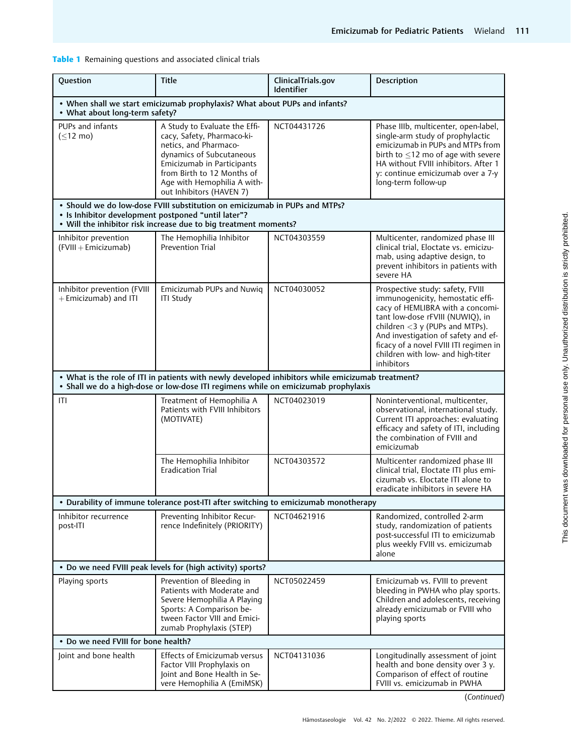Table 1 Remaining questions and associated clinical trials

| Question                                                                                                                                                                                              | <b>Title</b>                                                                                                                                                                                                                            | ClinicalTrials.gov<br><b>Identifier</b> | Description                                                                                                                                                                                                                                                                                                           |  |  |
|-------------------------------------------------------------------------------------------------------------------------------------------------------------------------------------------------------|-----------------------------------------------------------------------------------------------------------------------------------------------------------------------------------------------------------------------------------------|-----------------------------------------|-----------------------------------------------------------------------------------------------------------------------------------------------------------------------------------------------------------------------------------------------------------------------------------------------------------------------|--|--|
| . When shall we start emicizumab prophylaxis? What about PUPs and infants?<br>• What about long-term safety?                                                                                          |                                                                                                                                                                                                                                         |                                         |                                                                                                                                                                                                                                                                                                                       |  |  |
| PUPs and infants<br>$(\leq 12 \text{ mo})$                                                                                                                                                            | A Study to Evaluate the Effi-<br>cacy, Safety, Pharmaco-ki-<br>netics, and Pharmaco-<br>dynamics of Subcutaneous<br>Emicizumab in Participants<br>from Birth to 12 Months of<br>Age with Hemophilia A with-<br>out Inhibitors (HAVEN 7) | NCT04431726                             | Phase IIIb, multicenter, open-label,<br>single-arm study of prophylactic<br>emicizumab in PUPs and MTPs from<br>birth to $\leq$ 12 mo of age with severe<br>HA without FVIII inhibitors. After 1<br>y: continue emicizumab over a 7-y<br>long-term follow-up                                                          |  |  |
| • Should we do low-dose FVIII substitution on emicizumab in PUPs and MTPs?<br>• Is Inhibitor development postponed "until later"?<br>• Will the inhibitor risk increase due to big treatment moments? |                                                                                                                                                                                                                                         |                                         |                                                                                                                                                                                                                                                                                                                       |  |  |
| Inhibitor prevention<br>(FVIII + Emicizumab)                                                                                                                                                          | The Hemophilia Inhibitor<br><b>Prevention Trial</b>                                                                                                                                                                                     | NCT04303559                             | Multicenter, randomized phase III<br>clinical trial, Eloctate vs. emicizu-<br>mab, using adaptive design, to<br>prevent inhibitors in patients with<br>severe HA                                                                                                                                                      |  |  |
| Inhibitor prevention (FVIII<br>+ Emicizumab) and ITI                                                                                                                                                  | Emicizumab PUPs and Nuwiq<br><b>ITI Study</b>                                                                                                                                                                                           | NCT04030052                             | Prospective study: safety, FVIII<br>immunogenicity, hemostatic effi-<br>cacy of HEMLIBRA with a concomi-<br>tant low-dose rFVIII (NUWIQ), in<br>children $<$ 3 y (PUPs and MTPs).<br>And investigation of safety and ef-<br>ficacy of a novel FVIII ITI regimen in<br>children with low- and high-titer<br>inhibitors |  |  |
| . What is the role of ITI in patients with newly developed inhibitors while emicizumab treatment?<br>· Shall we do a high-dose or low-dose ITI regimens while on emicizumab prophylaxis               |                                                                                                                                                                                                                                         |                                         |                                                                                                                                                                                                                                                                                                                       |  |  |
| ITI                                                                                                                                                                                                   | Treatment of Hemophilia A<br>Patients with FVIII Inhibitors<br>(MOTIVATE)                                                                                                                                                               | NCT04023019                             | Noninterventional, multicenter,<br>observational, international study.<br>Current ITI approaches: evaluating<br>efficacy and safety of ITI, including<br>the combination of FVIII and<br>emicizumab                                                                                                                   |  |  |
|                                                                                                                                                                                                       | The Hemophilia Inhibitor<br><b>Eradication Trial</b>                                                                                                                                                                                    | NCT04303572                             | Multicenter randomized phase III<br>clinical trial, Eloctate ITI plus emi-<br>cizumab vs. Eloctate ITI alone to<br>eradicate inhibitors in severe HA                                                                                                                                                                  |  |  |
| • Durability of immune tolerance post-ITI after switching to emicizumab monotherapy                                                                                                                   |                                                                                                                                                                                                                                         |                                         |                                                                                                                                                                                                                                                                                                                       |  |  |
| Inhibitor recurrence<br>post-ITI                                                                                                                                                                      | Preventing Inhibitor Recur-<br>rence Indefinitely (PRIORITY)                                                                                                                                                                            | NCT04621916                             | Randomized, controlled 2-arm<br>study, randomization of patients<br>post-successful ITI to emicizumab<br>plus weekly FVIII vs. emicizumab<br>alone                                                                                                                                                                    |  |  |
| • Do we need FVIII peak levels for (high activity) sports?                                                                                                                                            |                                                                                                                                                                                                                                         |                                         |                                                                                                                                                                                                                                                                                                                       |  |  |
| Playing sports                                                                                                                                                                                        | Prevention of Bleeding in<br>Patients with Moderate and<br>Severe Hemophilia A Playing<br>Sports: A Comparison be-<br>tween Factor VIII and Emici-<br>zumab Prophylaxis (STEP)                                                          | NCT05022459                             | Emicizumab vs. FVIII to prevent<br>bleeding in PWHA who play sports.<br>Children and adolescents, receiving<br>already emicizumab or FVIII who<br>playing sports                                                                                                                                                      |  |  |
| • Do we need FVIII for bone health?                                                                                                                                                                   |                                                                                                                                                                                                                                         |                                         |                                                                                                                                                                                                                                                                                                                       |  |  |
| Joint and bone health                                                                                                                                                                                 | Effects of Emicizumab versus<br>Factor VIII Prophylaxis on<br>Joint and Bone Health in Se-<br>vere Hemophilia A (EmiMSK)                                                                                                                | NCT04131036                             | Longitudinally assessment of joint<br>health and bone density over 3 y.<br>Comparison of effect of routine<br>FVIII vs. emicizumab in PWHA                                                                                                                                                                            |  |  |

(Continued)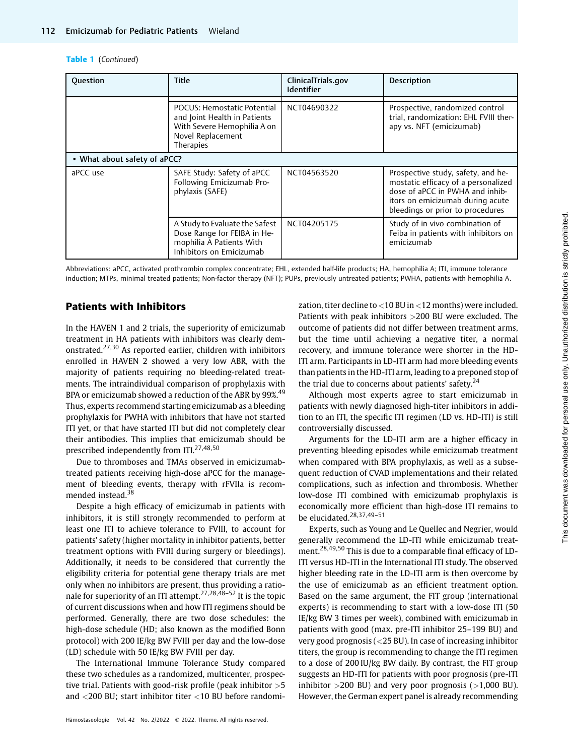#### Table 1 (Continued)

| <b>Question</b>              | <b>Title</b>                                                                                                                 | ClinicalTrials.gov<br><b>Identifier</b> | <b>Description</b>                                                                                                                                                                   |  |
|------------------------------|------------------------------------------------------------------------------------------------------------------------------|-----------------------------------------|--------------------------------------------------------------------------------------------------------------------------------------------------------------------------------------|--|
|                              | POCUS: Hemostatic Potential<br>and Joint Health in Patients<br>With Severe Hemophilia A on<br>Novel Replacement<br>Therapies | NCT04690322                             | Prospective, randomized control<br>trial, randomization: EHL FVIII ther-<br>apy vs. NFT (emicizumab)                                                                                 |  |
| • What about safety of aPCC? |                                                                                                                              |                                         |                                                                                                                                                                                      |  |
| aPCC use                     | SAFE Study: Safety of aPCC<br>Following Emicizumab Pro-<br>phylaxis (SAFE)                                                   | NCT04563520                             | Prospective study, safety, and he-<br>mostatic efficacy of a personalized<br>dose of aPCC in PWHA and inhib-<br>itors on emicizumab during acute<br>bleedings or prior to procedures |  |
|                              | A Study to Evaluate the Safest<br>Dose Range for FEIBA in He-<br>mophilia A Patients With<br>Inhibitors on Emicizumab        | NCT04205175                             | Study of in vivo combination of<br>Feiba in patients with inhibitors on<br>emicizumab                                                                                                |  |

Abbreviations: aPCC, activated prothrombin complex concentrate; EHL, extended half-life products; HA, hemophilia A; ITI, immune tolerance induction; MTPs, minimal treated patients; Non-factor therapy (NFT); PUPs, previously untreated patients; PWHA, patients with hemophilia A.

# Patients with Inhibitors

In the HAVEN 1 and 2 trials, the superiority of emicizumab treatment in HA patients with inhibitors was clearly demonstrated.27,30 As reported earlier, children with inhibitors enrolled in HAVEN 2 showed a very low ABR, with the majority of patients requiring no bleeding-related treatments. The intraindividual comparison of prophylaxis with BPA or emicizumab showed a reduction of the ABR by 99%.<sup>49</sup> Thus, experts recommend starting emicizumab as a bleeding prophylaxis for PWHA with inhibitors that have not started ITI yet, or that have started ITI but did not completely clear their antibodies. This implies that emicizumab should be prescribed independently from ITI.27,48,50

Due to thromboses and TMAs observed in emicizumabtreated patients receiving high-dose aPCC for the management of bleeding events, therapy with rFVIIa is recommended instead.<sup>38</sup>

Despite a high efficacy of emicizumab in patients with inhibitors, it is still strongly recommended to perform at least one ITI to achieve tolerance to FVIII, to account for patients' safety (higher mortality in inhibitor patients, better treatment options with FVIII during surgery or bleedings). Additionally, it needs to be considered that currently the eligibility criteria for potential gene therapy trials are met only when no inhibitors are present, thus providing a rationale for superiority of an ITI attempt.<sup>27,28,48-52</sup> It is the topic of current discussions when and how ITI regimens should be performed. Generally, there are two dose schedules: the high-dose schedule (HD; also known as the modified Bonn protocol) with 200 IE/kg BW FVIII per day and the low-dose (LD) schedule with 50 IE/kg BW FVIII per day.

The International Immune Tolerance Study compared these two schedules as a randomized, multicenter, prospective trial. Patients with good-risk profile (peak inhibitor  $>5$ and <200 BU; start inhibitor titer <10 BU before randomi-

Hämostaseologie Vol. 42 No. 2/2022 © 2022. Thieme. All rights reserved.

zation, titer decline to <10 BU in <12 months) were included. Patients with peak inhibitors >200 BU were excluded. The outcome of patients did not differ between treatment arms, but the time until achieving a negative titer, a normal recovery, and immune tolerance were shorter in the HD-ITI arm. Participants in LD-ITI arm had more bleeding events than patients in the HD-ITI arm, leading to a preponed stop of the trial due to concerns about patients' safety. $24$ 

Although most experts agree to start emicizumab in patients with newly diagnosed high-titer inhibitors in addition to an ITI, the specific ITI regimen (LD vs. HD-ITI) is still controversially discussed.

Arguments for the LD-ITI arm are a higher efficacy in preventing bleeding episodes while emicizumab treatment when compared with BPA prophylaxis, as well as a subsequent reduction of CVAD implementations and their related complications, such as infection and thrombosis. Whether low-dose ITI combined with emicizumab prophylaxis is economically more efficient than high-dose ITI remains to be elucidated.<sup>28,37,49-51</sup>

Experts, such as Young and Le Quellec and Negrier, would generally recommend the LD-ITI while emicizumab treatment.28,49,50 This is due to a comparable final efficacy of LD-ITI versus HD-ITI in the International ITI study. The observed higher bleeding rate in the LD-ITI arm is then overcome by the use of emicizumab as an efficient treatment option. Based on the same argument, the FIT group (international experts) is recommending to start with a low-dose ITI (50 IE/kg BW 3 times per week), combined with emicizumab in patients with good (max. pre-ITI inhibitor 25–199 BU) and very good prognosis (<25 BU). In case of increasing inhibitor titers, the group is recommending to change the ITI regimen to a dose of 200 IU/kg BW daily. By contrast, the FIT group suggests an HD-ITI for patients with poor prognosis (pre-ITI inhibitor  $>200$  BU) and very poor prognosis ( $>1,000$  BU). However, the German expert panel is already recommending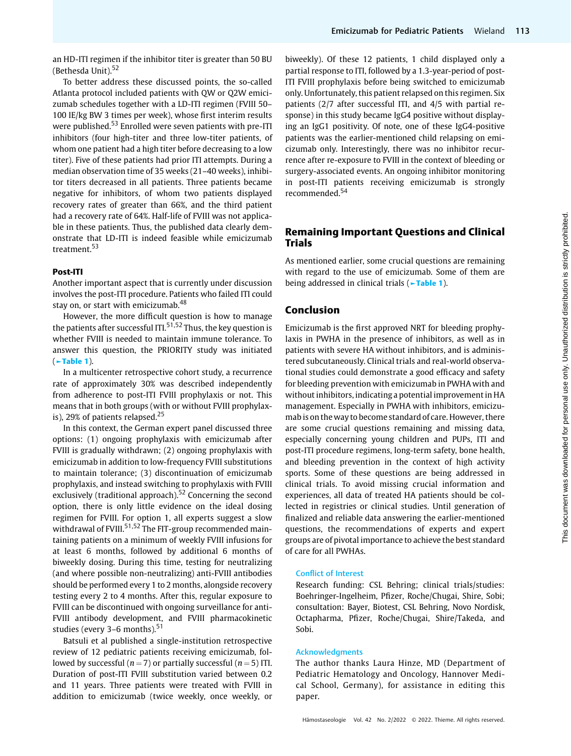an HD-ITI regimen if the inhibitor titer is greater than 50 BU (Bethesda Unit).<sup>52</sup>

To better address these discussed points, the so-called Atlanta protocol included patients with QW or Q2W emicizumab schedules together with a LD-ITI regimen (FVIII 50– 100 IE/kg BW 3 times per week), whose first interim results were published.<sup>53</sup> Enrolled were seven patients with pre-ITI inhibitors (four high-titer and three low-titer patients, of whom one patient had a high titer before decreasing to a low titer). Five of these patients had prior ITI attempts. During a median observation time of 35 weeks (21–40 weeks), inhibitor titers decreased in all patients. Three patients became negative for inhibitors, of whom two patients displayed recovery rates of greater than 66%, and the third patient had a recovery rate of 64%. Half-life of FVIII was not applicable in these patients. Thus, the published data clearly demonstrate that LD-ITI is indeed feasible while emicizumab treatment.<sup>53</sup>

### Post-ITI

Another important aspect that is currently under discussion involves the post-ITI procedure. Patients who failed ITI could stay on, or start with emicizumab.<sup>48</sup>

However, the more difficult question is how to manage the patients after successful ITI.<sup>51,52</sup> Thus, the key question is whether FVIII is needed to maintain immune tolerance. To answer this question, the PRIORITY study was initiated (►Table 1).

In a multicenter retrospective cohort study, a recurrence rate of approximately 30% was described independently from adherence to post-ITI FVIII prophylaxis or not. This means that in both groups (with or without FVIII prophylaxis), 29% of patients relapsed.<sup>25</sup>

In this context, the German expert panel discussed three options: (1) ongoing prophylaxis with emicizumab after FVIII is gradually withdrawn; (2) ongoing prophylaxis with emicizumab in addition to low-frequency FVIII substitutions to maintain tolerance; (3) discontinuation of emicizumab prophylaxis, and instead switching to prophylaxis with FVIII exclusively (traditional approach).<sup>52</sup> Concerning the second option, there is only little evidence on the ideal dosing regimen for FVIII. For option 1, all experts suggest a slow withdrawal of FVIII.<sup>51,52</sup> The FIT-group recommended maintaining patients on a minimum of weekly FVIII infusions for at least 6 months, followed by additional 6 months of biweekly dosing. During this time, testing for neutralizing (and where possible non-neutralizing) anti-FVIII antibodies should be performed every 1 to 2 months, alongside recovery testing every 2 to 4 months. After this, regular exposure to FVIII can be discontinued with ongoing surveillance for anti-FVIII antibody development, and FVIII pharmacokinetic studies (every  $3-6$  months).<sup>51</sup>

Batsuli et al published a single-institution retrospective review of 12 pediatric patients receiving emicizumab, followed by successful ( $n = 7$ ) or partially successful ( $n = 5$ ) ITI. Duration of post-ITI FVIII substitution varied between 0.2 and 11 years. Three patients were treated with FVIII in addition to emicizumab (twice weekly, once weekly, or

biweekly). Of these 12 patients, 1 child displayed only a partial response to ITI, followed by a 1.3-year-period of post-ITI FVIII prophylaxis before being switched to emicizumab only. Unfortunately, this patient relapsed on this regimen. Six patients (2/7 after successful ITI, and 4/5 with partial response) in this study became IgG4 positive without displaying an IgG1 positivity. Of note, one of these IgG4-positive patients was the earlier-mentioned child relapsing on emicizumab only. Interestingly, there was no inhibitor recurrence after re-exposure to FVIII in the context of bleeding or surgery-associated events. An ongoing inhibitor monitoring in post-ITI patients receiving emicizumab is strongly recommended.<sup>54</sup>

# Remaining Important Questions and Clinical Trials

As mentioned earlier, some crucial questions are remaining with regard to the use of emicizumab. Some of them are being addressed in clinical trials (**Frable 1**).

# Conclusion

Emicizumab is the first approved NRT for bleeding prophylaxis in PWHA in the presence of inhibitors, as well as in patients with severe HA without inhibitors, and is administered subcutaneously. Clinical trials and real-world observational studies could demonstrate a good efficacy and safety for bleeding prevention with emicizumab in PWHA with and without inhibitors, indicating a potential improvement in HA management. Especially in PWHA with inhibitors, emicizumab is on the way to become standard of care. However, there are some crucial questions remaining and missing data, especially concerning young children and PUPs, ITI and post-ITI procedure regimens, long-term safety, bone health, and bleeding prevention in the context of high activity sports. Some of these questions are being addressed in clinical trials. To avoid missing crucial information and experiences, all data of treated HA patients should be collected in registries or clinical studies. Until generation of finalized and reliable data answering the earlier-mentioned questions, the recommendations of experts and expert groups are of pivotal importance to achieve the best standard of care for all PWHAs.

#### Conflict of Interest

Research funding: CSL Behring; clinical trials/studies: Boehringer-Ingelheim, Pfizer, Roche/Chugai, Shire, Sobi; consultation: Bayer, Biotest, CSL Behring, Novo Nordisk, Octapharma, Pfizer, Roche/Chugai, Shire/Takeda, and Sobi.

### Acknowledgments

The author thanks Laura Hinze, MD (Department of Pediatric Hematology and Oncology, Hannover Medical School, Germany), for assistance in editing this paper.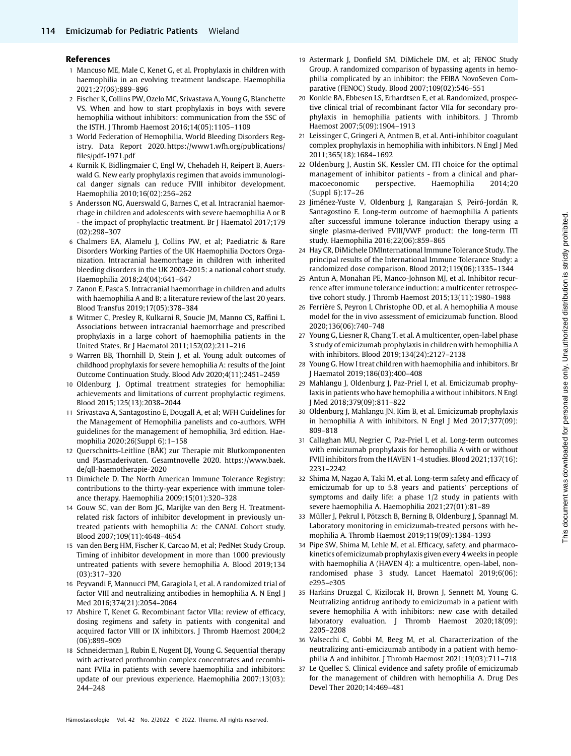#### References

- 1 Mancuso ME, Male C, Kenet G, et al. Prophylaxis in children with haemophilia in an evolving treatment landscape. Haemophilia 2021;27(06):889–896
- 2 Fischer K, Collins PW, Ozelo MC, Srivastava A, Young G, Blanchette VS. When and how to start prophylaxis in boys with severe hemophilia without inhibitors: communication from the SSC of the ISTH. J Thromb Haemost 2016;14(05):1105–1109
- 3 World Federation of Hemophilia. World Bleeding Disorders Registry. Data Report 2020. [https://www1.wfh.org/publications/](https://www1.wfh.org/publications/files/pdf-1971.pdf) fi[les/pdf-1971.pdf](https://www1.wfh.org/publications/files/pdf-1971.pdf)
- 4 Kurnik K, Bidlingmaier C, Engl W, Chehadeh H, Reipert B, Auerswald G. New early prophylaxis regimen that avoids immunological danger signals can reduce FVIII inhibitor development. Haemophilia 2010;16(02):256–262
- 5 Andersson NG, Auerswald G, Barnes C, et al. Intracranial haemorrhage in children and adolescents with severe haemophilia A or B - the impact of prophylactic treatment. Br J Haematol 2017;179 (02):298–307
- 6 Chalmers EA, Alamelu J, Collins PW, et al; Paediatric & Rare Disorders Working Parties of the UK Haemophilia Doctors Organization. Intracranial haemorrhage in children with inherited bleeding disorders in the UK 2003-2015: a national cohort study. Haemophilia 2018;24(04):641–647
- 7 Zanon E, Pasca S. Intracranial haemorrhage in children and adults with haemophilia A and B: a literature review of the last 20 years. Blood Transfus 2019;17(05):378–384
- 8 Witmer C, Presley R, Kulkarni R, Soucie JM, Manno CS, Raffini L. Associations between intracranial haemorrhage and prescribed prophylaxis in a large cohort of haemophilia patients in the United States. Br J Haematol 2011;152(02):211–216
- 9 Warren BB, Thornhill D, Stein J, et al. Young adult outcomes of childhood prophylaxis for severe hemophilia A: results of the Joint Outcome Continuation Study. Blood Adv 2020;4(11):2451–2459
- 10 Oldenburg J. Optimal treatment strategies for hemophilia: achievements and limitations of current prophylactic regimens. Blood 2015;125(13):2038–2044
- 11 Srivastava A, Santagostino E, Dougall A, et al; WFH Guidelines for the Management of Hemophilia panelists and co-authors. WFH guidelines for the management of hemophilia, 3rd edition. Haemophilia 2020;26(Suppl 6):1–158
- 12 Querschnitts-Leitline (BÄK) zur Therapie mit Blutkomponenten und Plasmaderivaten. Gesamtnovelle 2020. [https://www.baek.](https://www.baek.de/qll-haemotherapie-2020) [de/qll-haemotherapie-2020](https://www.baek.de/qll-haemotherapie-2020)
- 13 Dimichele D. The North American Immune Tolerance Registry: contributions to the thirty-year experience with immune tolerance therapy. Haemophilia 2009;15(01):320–328
- 14 Gouw SC, van der Bom JG, Marijke van den Berg H. Treatmentrelated risk factors of inhibitor development in previously untreated patients with hemophilia A: the CANAL Cohort study. Blood 2007;109(11):4648–4654
- 15 van den Berg HM, Fischer K, Carcao M, et al; PedNet Study Group. Timing of inhibitor development in more than 1000 previously untreated patients with severe hemophilia A. Blood 2019;134 (03):317–320
- 16 Peyvandi F, Mannucci PM, Garagiola I, et al. A randomized trial of factor VIII and neutralizing antibodies in hemophilia A. N Engl J Med 2016;374(21):2054–2064
- 17 Abshire T, Kenet G. Recombinant factor VIIa: review of efficacy, dosing regimens and safety in patients with congenital and acquired factor VIII or IX inhibitors. J Thromb Haemost 2004;2 (06):899–909
- 18 Schneiderman J, Rubin E, Nugent DJ, Young G. Sequential therapy with activated prothrombin complex concentrates and recombinant FVIIa in patients with severe haemophilia and inhibitors: update of our previous experience. Haemophilia 2007;13(03): 244–248
- 19 Astermark J, Donfield SM, DiMichele DM, et al; FENOC Study Group. A randomized comparison of bypassing agents in hemophilia complicated by an inhibitor: the FEIBA NovoSeven Comparative (FENOC) Study. Blood 2007;109(02):546–551
- 20 Konkle BA, Ebbesen LS, Erhardtsen E, et al. Randomized, prospective clinical trial of recombinant factor VIIa for secondary prophylaxis in hemophilia patients with inhibitors. J Thromb Haemost 2007;5(09):1904–1913
- 21 Leissinger C, Gringeri A, Antmen B, et al. Anti-inhibitor coagulant complex prophylaxis in hemophilia with inhibitors. N Engl J Med 2011;365(18):1684–1692
- 22 Oldenburg J, Austin SK, Kessler CM. ITI choice for the optimal management of inhibitor patients - from a clinical and pharmacoeconomic perspective. Haemophilia 2014;20 (Suppl 6):17–26
- 23 Jiménez-Yuste V, Oldenburg J, Rangarajan S, Peiró-Jordán R, Santagostino E. Long-term outcome of haemophilia A patients after successful immune tolerance induction therapy using a single plasma-derived FVIII/VWF product: the long-term ITI study. Haemophilia 2016;22(06):859–865
- 24 Hay CR, DiMichele DMInternational Immune Tolerance Study. The principal results of the International Immune Tolerance Study: a randomized dose comparison. Blood 2012;119(06):1335–1344
- 25 Antun A, Monahan PE, Manco-Johnson MJ, et al. Inhibitor recurrence after immune tolerance induction: a multicenter retrospective cohort study. J Thromb Haemost 2015;13(11):1980–1988
- 26 Ferrière S, Peyron I, Christophe OD, et al. A hemophilia A mouse model for the in vivo assessment of emicizumab function. Blood 2020;136(06):740–748
- 27 Young G, Liesner R, Chang T, et al. A multicenter, open-label phase 3 study of emicizumab prophylaxis in children with hemophilia A with inhibitors. Blood 2019;134(24):2127–2138
- 28 Young G. How I treat children with haemophilia and inhibitors. Br J Haematol 2019;186(03):400–408
- 29 Mahlangu J, Oldenburg J, Paz-Priel I, et al. Emicizumab prophylaxis in patients who have hemophilia a without inhibitors. N Engl J Med 2018;379(09):811–822
- 30 Oldenburg J, Mahlangu JN, Kim B, et al. Emicizumab prophylaxis in hemophilia A with inhibitors. N Engl J Med 2017;377(09): 809–818
- 31 Callaghan MU, Negrier C, Paz-Priel I, et al. Long-term outcomes with emicizumab prophylaxis for hemophilia A with or without FVIII inhibitors from the HAVEN 1-4 studies. Blood 2021;137(16): 2231–2242
- 32 Shima M, Nagao A, Taki M, et al. Long-term safety and efficacy of emicizumab for up to 5.8 years and patients' perceptions of symptoms and daily life: a phase 1/2 study in patients with severe haemophilia A. Haemophilia 2021;27(01):81–89
- 33 Müller J, Pekrul I, Pötzsch B, Berning B, Oldenburg J, Spannagl M. Laboratory monitoring in emicizumab-treated persons with hemophilia A. Thromb Haemost 2019;119(09):1384–1393
- 34 Pipe SW, Shima M, Lehle M, et al. Efficacy, safety, and pharmacokinetics of emicizumab prophylaxis given every 4 weeks in people with haemophilia A (HAVEN 4): a multicentre, open-label, nonrandomised phase 3 study. Lancet Haematol 2019;6(06): e295–e305
- 35 Harkins Druzgal C, Kizilocak H, Brown J, Sennett M, Young G. Neutralizing antidrug antibody to emicizumab in a patient with severe hemophilia A with inhibitors: new case with detailed laboratory evaluation. J Thromb Haemost 2020;18(09): 2205–2208
- Valsecchi C, Gobbi M, Beeg M, et al. Characterization of the neutralizing anti-emicizumab antibody in a patient with hemophilia A and inhibitor. J Thromb Haemost 2021;19(03):711–718
- 37 Le Quellec S. Clinical evidence and safety profile of emicizumab for the management of children with hemophilia A. Drug Des Devel Ther 2020;14:469–481